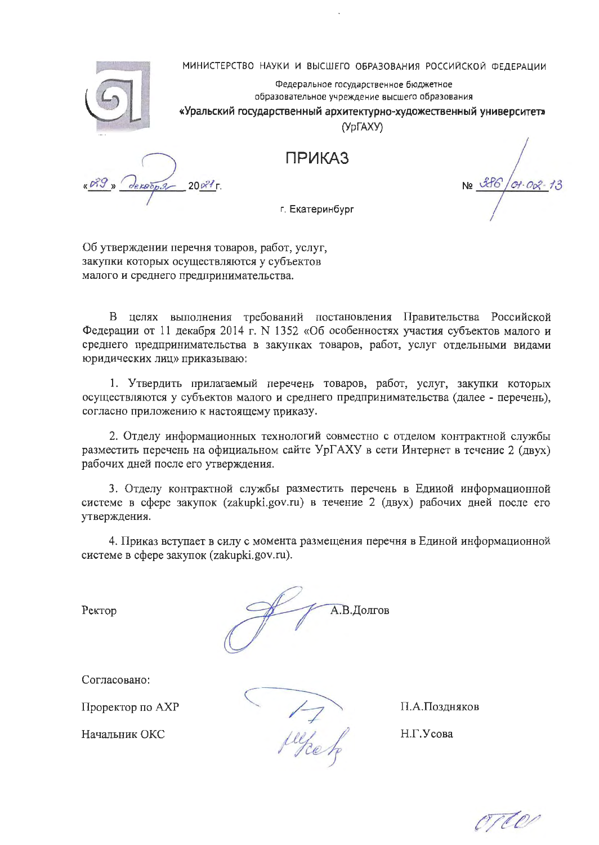МИНИСТЕРСТВО НАУКИ И ВЫСШЕГО ОБРАЗОВАНИЯ РОССИЙСКОЙ ФЕДЕРАЦИИ



Федеральное государственное бюджетное образовательное учреждение высшего образования «Уральский государственный архитектурно-художественный университет»

(УрГАХУ)

**ПРИКАЗ** 

 $200^2$ 

 $Of \cdot OQ$ 

г. Екатеринбург

Об утверждении перечня товаров, работ, услуг, закупки которых осуществляются у субъектов малого и среднего предпринимательства.

В целях выполнения требований постановления Правительства Российской Федерации от 11 декабря 2014 г. N 1352 «Об особенностях участия субъектов малого и среднего предпринимательства в закупках товаров, работ, услуг отдельными видами юридических лиц» приказываю:

1. Утвердить прилагаемый перечень товаров, работ, услуг, закупки которых осуществляются у субъектов малого и среднего предпринимательства (далее - перечень), согласно приложению к настоящему приказу.

2. Отделу информационных технологий совместно с отделом контрактной службы разместить перечень на официальном сайте УрГАХУ в сети Интернет в течение 2 (двух) рабочих дней после его утверждения.

3. Отделу контрактной службы разместить перечень в Единой информационной системе в сфере закупок (zakupki.gov.ru) в течение 2 (двух) рабочих дней после его утверждения.

4. Приказ вступает в силу с момента размещения перечня в Единой информационной системе в сфере закупок (zakupki.gov.ru).

Ректор

А.В.Долгов

Согласовано:

Проректор по АХР

Начальник ОКС

juj<sub>ce h</sub>

П.А.Поздняков

Н.Г.Усова

orton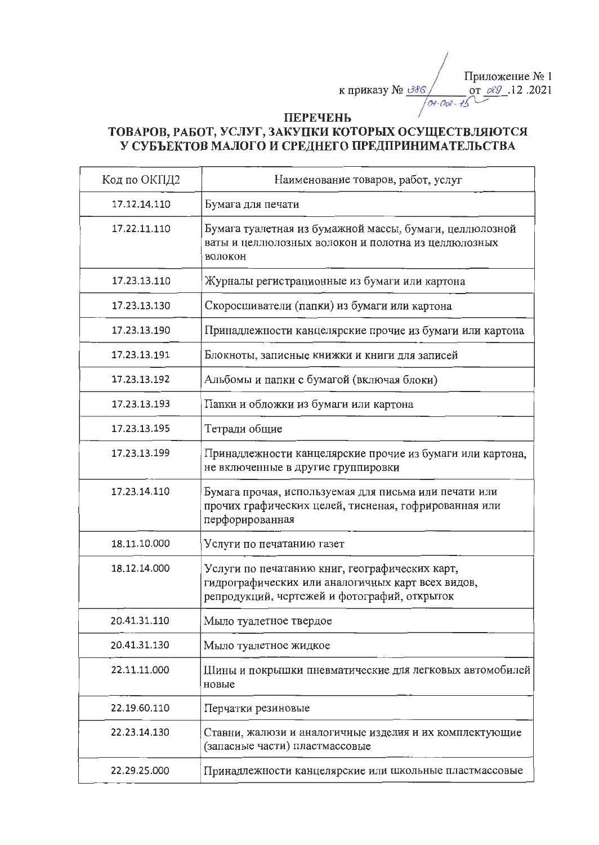Приложение № 1 к приказу № <u>Э</u>З6 от 2021. 07 2021  $0 + 00 - 15$ 

## **ПЕРЕЧЕНЬ**

## ТОВАРОВ, РАБОТ, УСЛУГ, ЗАКУПКИ КОТОРЫХ ОСУЩЕСТВЛЯЮТСЯ У СУБЪЕКТОВ МАЛОГО И СРЕДНЕГО ПРЕДПРИНИМАТЕЛЬСТВА

| Код по ОКПД2 | Наименование товаров, работ, услуг                                                                                                                  |
|--------------|-----------------------------------------------------------------------------------------------------------------------------------------------------|
| 17.12.14.110 | Бумага для печати                                                                                                                                   |
| 17.22.11.110 | Бумага туалетная из бумажной массы, бумаги, целлюлозной<br>ваты и целлюлозных волокон и полотна из целлюлозных<br>волокон                           |
| 17.23.13.110 | Журналы регистрационные из бумаги или картона                                                                                                       |
| 17.23.13.130 | Скоросшиватели (папки) из бумаги или картона                                                                                                        |
| 17.23.13.190 | Принадлежности канцелярские прочие из бумаги или картона                                                                                            |
| 17.23.13.191 | Блокноты, записные книжки и книги для записей                                                                                                       |
| 17.23.13.192 | Альбомы и папки с бумагой (включая блоки)                                                                                                           |
| 17.23.13.193 | Папки и обложки из бумаги или картона                                                                                                               |
| 17.23.13.195 | Тетради общие                                                                                                                                       |
| 17.23.13.199 | Принадлежности канцелярские прочие из бумаги или картона,<br>не включенные в другие группировки                                                     |
| 17.23.14.110 | Бумага прочая, используемая для письма или печати или<br>прочих графических целей, тисненая, гофрированная или<br>перфорированная                   |
| 18.11.10.000 | Услуги по печатанию газет                                                                                                                           |
| 18.12.14.000 | Услуги по печатанию книг, географических карт,<br>гидрографических или аналогичных карт всех видов,<br>репродукций, чертежей и фотографий, открыток |
| 20.41.31.110 | Мыло туалетное твердое                                                                                                                              |
| 20.41.31.130 | Мыло туалетное жидкое                                                                                                                               |
| 22.11.11.000 | Шины и покрышки пневматические для легковых автомобилей<br>новые                                                                                    |
| 22.19.60.110 | Перчатки резиновые                                                                                                                                  |
| 22.23.14.130 | Ставни, жалюзи и аналогичные изделия и их комплектующие<br>(запасные части) пластмассовые                                                           |
| 22.29.25.000 | Принадлежности канцелярские или школьные пластмассовые                                                                                              |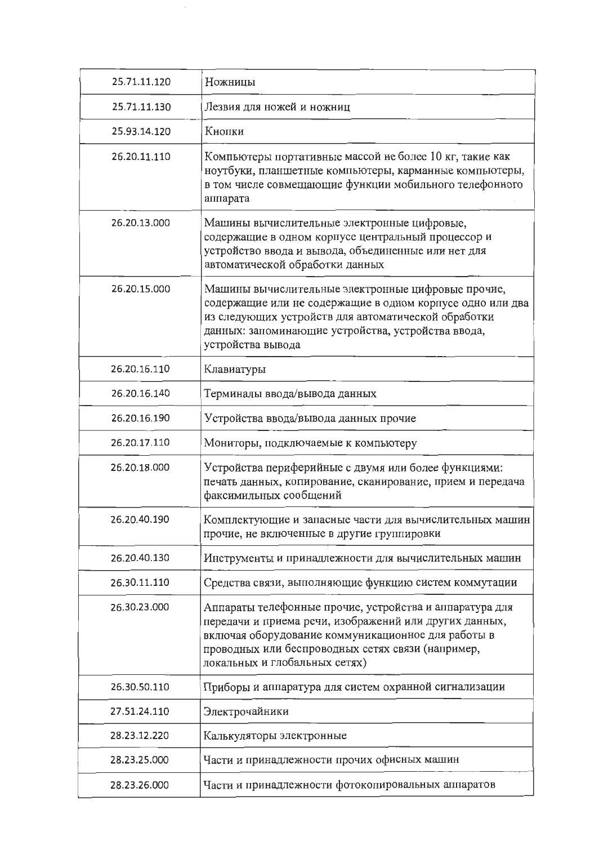| 25.71.11.120 | Ножницы                                                                                                                                                                                                                                                       |
|--------------|---------------------------------------------------------------------------------------------------------------------------------------------------------------------------------------------------------------------------------------------------------------|
| 25.71.11.130 | Лезвия для ножей и ножниц                                                                                                                                                                                                                                     |
| 25.93.14.120 | Кнопки                                                                                                                                                                                                                                                        |
| 26.20.11.110 | Компьютеры портативные массой не более 10 кг, такие как<br>ноутбуки, планшетные компьютеры, карманные компьютеры,<br>в том числе совмещающие функции мобильного телефонного<br>аппарата                                                                       |
| 26.20.13.000 | Машины вычислительные электронные цифровые,<br>содержащие в одном корпусе центральный процессор и<br>устройство ввода и вывода, объединенные или нет для<br>автоматической обработки данных                                                                   |
| 26.20.15.000 | Машины вычислительные электронные цифровые прочие,<br>содержащие или не содержащие в одном корпусе одно или два<br>из следующих устройств для автоматической обработки<br>данных: запоминающие устройства, устройства ввода,<br>устройства вывода             |
| 26.20.16.110 | Клавиатуры                                                                                                                                                                                                                                                    |
| 26.20.16.140 | Терминалы ввода/вывода данных                                                                                                                                                                                                                                 |
| 26.20.16.190 | Устройства ввода/вывода данных прочие                                                                                                                                                                                                                         |
| 26.20.17.110 | Мониторы, подключаемые к компьютеру                                                                                                                                                                                                                           |
| 26.20.18.000 | Устройства периферийные с двумя или более функциями:<br>печать данных, копирование, сканирование, прием и передача<br>факсимильных сообщений                                                                                                                  |
| 26.20.40.190 | Комплектующие и запасные части для вычислительных машин<br>прочие, не включенные в другие группировки                                                                                                                                                         |
| 26.20.40.130 | Инструменты и принадлежности для вычислительных машин                                                                                                                                                                                                         |
| 26.30.11.110 | Средства связи, выполняющие функцию систем коммутации                                                                                                                                                                                                         |
| 26.30.23.000 | Аппараты телефонные прочие, устройства и аппаратура для<br>передачи и приема речи, изображений или других данных,<br>включая оборудование коммуникационное для работы в<br>проводных или беспроводных сетях связи (например,<br>локальных и глобальных сетях) |
| 26.30.50.110 | Приборы и аппаратура для систем охранной сигнализации                                                                                                                                                                                                         |
| 27.51.24.110 | Электрочайники                                                                                                                                                                                                                                                |
| 28.23.12.220 | Калькуляторы электронные                                                                                                                                                                                                                                      |
| 28.23.25.000 | Части и принадлежности прочих офисных машин                                                                                                                                                                                                                   |
| 28.23.26.000 | Части и принадлежности фотокопировальных аппаратов                                                                                                                                                                                                            |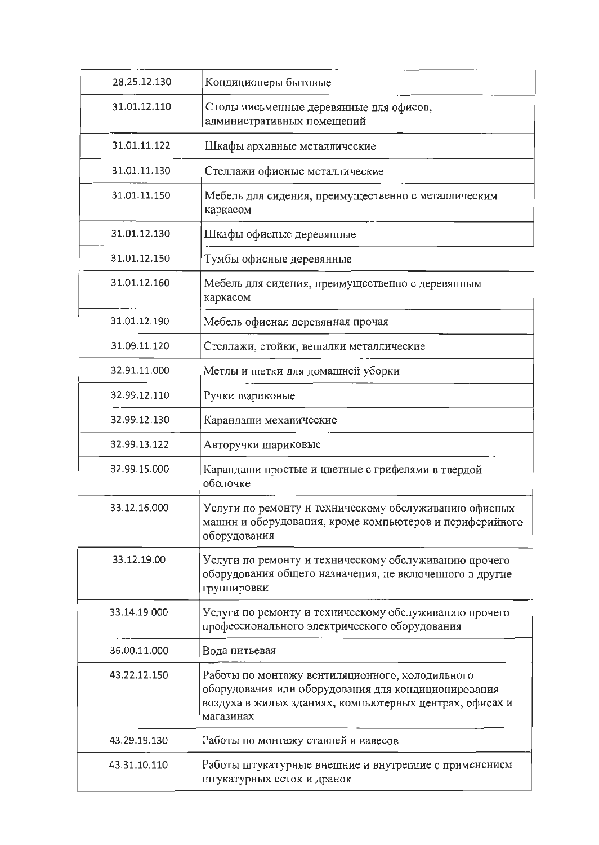| 28.25.12.130 | Кондиционеры бытовые                                                                                                                                                           |
|--------------|--------------------------------------------------------------------------------------------------------------------------------------------------------------------------------|
| 31.01.12.110 | Столы письменные деревянные для офисов,<br>административных помещений                                                                                                          |
| 31.01.11.122 | Шкафы архивные металлические                                                                                                                                                   |
| 31.01.11.130 | Стеллажи офисные металлические                                                                                                                                                 |
| 31.01.11.150 | Мебель для сидения, преимущественно с металлическим<br>каркасом                                                                                                                |
| 31.01.12.130 | Шкафы офисные деревянные                                                                                                                                                       |
| 31.01.12.150 | Тумбы офисные деревянные                                                                                                                                                       |
| 31.01.12.160 | Мебель для сидения, преимущественно с деревянным<br>каркасом                                                                                                                   |
| 31.01.12.190 | Мебель офисная деревянная прочая                                                                                                                                               |
| 31.09.11.120 | Стеллажи, стойки, вешалки металлические                                                                                                                                        |
| 32.91.11.000 | Метлы и щетки для домашней уборки                                                                                                                                              |
| 32.99.12.110 | Ручки шариковые                                                                                                                                                                |
| 32.99.12.130 | Карандаши механические                                                                                                                                                         |
| 32.99.13.122 | Авторучки шариковые                                                                                                                                                            |
| 32.99.15.000 | Карандаши простые и цветные с грифелями в твердой<br>оболочке                                                                                                                  |
| 33.12.16.000 | Услуги по ремонту и техническому обслуживанию офисных<br>машин и оборудования, кроме компьютеров и периферийного<br>оборудования                                               |
| 33.12.19.00  | Услуги по ремонту и техническому обслуживанию прочего<br>оборудования общего назначения, не включенного в другие<br>группировки                                                |
| 33.14.19.000 | Услуги по ремонту и техническому обслуживанию прочего<br>профессионального электрического оборудования                                                                         |
| 36.00.11.000 | Вода питьевая                                                                                                                                                                  |
| 43.22.12.150 | Работы по монтажу вентиляционного, холодильного<br>оборудования или оборудования для кондиционирования<br>воздуха в жилых зданиях, компьютерных центрах, офисах и<br>магазинах |
| 43.29.19.130 | Работы по монтажу ставней и навесов                                                                                                                                            |
| 43.31.10.110 | Работы штукатурные внешние и внутренние с применением<br>штукатурных сеток и дранок                                                                                            |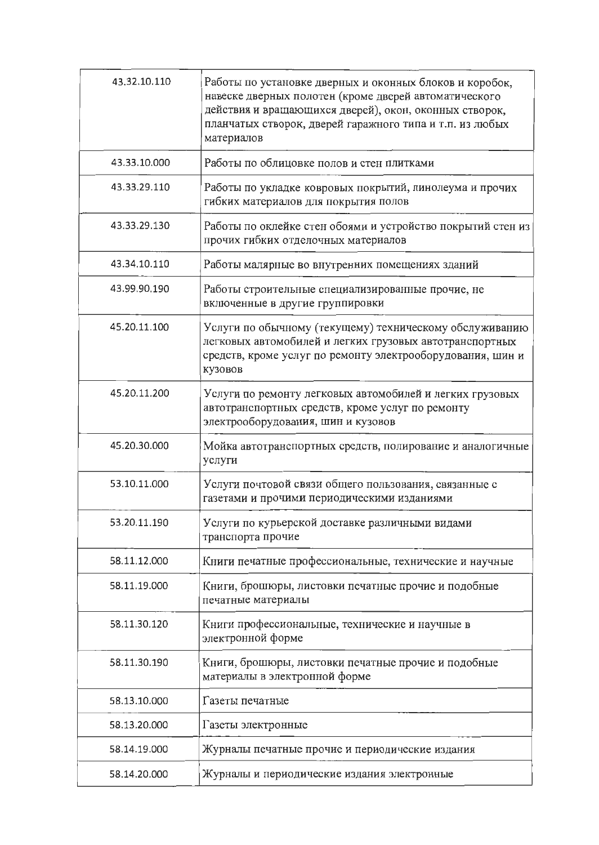| 43.32.10.110 | Работы по установке дверных и оконных блоков и коробок,<br>навеске дверных полотен (кроме дверей автоматического<br>действия и вращающихся дверей), окон, оконных створок,<br>планчатых створок, дверей гаражного типа и т.п. из любых<br>материалов |
|--------------|------------------------------------------------------------------------------------------------------------------------------------------------------------------------------------------------------------------------------------------------------|
| 43.33.10.000 | Работы по облицовке полов и стен плитками                                                                                                                                                                                                            |
| 43.33.29.110 | Работы по укладке ковровых покрытий, линолеума и прочих<br>гибких материалов для покрытия полов                                                                                                                                                      |
| 43.33.29.130 | Работы по оклейке стен обоями и устройство покрытий стен из<br>прочих гибких отделочных материалов                                                                                                                                                   |
| 43.34.10.110 | Работы малярные во внутренних помещениях зданий                                                                                                                                                                                                      |
| 43.99.90.190 | Работы строительные специализированные прочие, не<br>включенные в другие группировки                                                                                                                                                                 |
| 45.20.11.100 | Услуги по обычному (текущему) техническому обслуживанию<br>легковых автомобилей и легких грузовых автотранспортных<br>средств, кроме услуг по ремонту электрооборудования, шин и<br>кузовов                                                          |
| 45.20.11.200 | Услуги по ремонту легковых автомобилей и легких грузовых<br>автотранспортных средств, кроме услуг по ремонту<br>электрооборудования, шин и кузовов                                                                                                   |
| 45.20.30.000 | Мойка автотранспортных средств, полирование и аналогичные<br>услуги                                                                                                                                                                                  |
| 53.10.11.000 | Услуги почтовой связи общего пользования, связанные с<br>газетами и прочими периодическими изданиями                                                                                                                                                 |
| 53.20.11.190 | Услуги по курьерской доставке различными видами<br>транспорта прочие                                                                                                                                                                                 |
| 58.11.12.000 | Книги печатные профессиональные, технические и научные                                                                                                                                                                                               |
| 58.11.19.000 | Книги, брошюры, листовки печатные прочие и подобные<br>печатные материалы                                                                                                                                                                            |
| 58.11.30.120 | Книги профессиональные, технические и научные в<br>электронной форме                                                                                                                                                                                 |
| 58.11.30.190 | Книги, брошюры, листовки печатные прочие и подобные<br>материалы в электронной форме                                                                                                                                                                 |
| 58.13.10.000 | Газеты печатные                                                                                                                                                                                                                                      |
| 58.13.20.000 | Газеты электронные                                                                                                                                                                                                                                   |
| 58.14.19.000 | Журналы печатные прочие и периодические издания                                                                                                                                                                                                      |
| 58.14.20.000 | Журналы и периодические издания электронные                                                                                                                                                                                                          |
|              |                                                                                                                                                                                                                                                      |